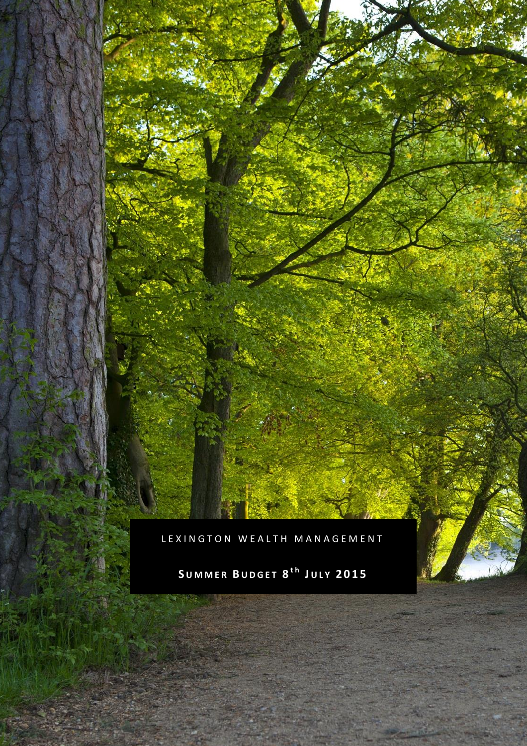LEXINGTON WEALTH MANAGEMENT

**S U M M E R B U D G E T 8 t h J U L Y 2 0 1 5**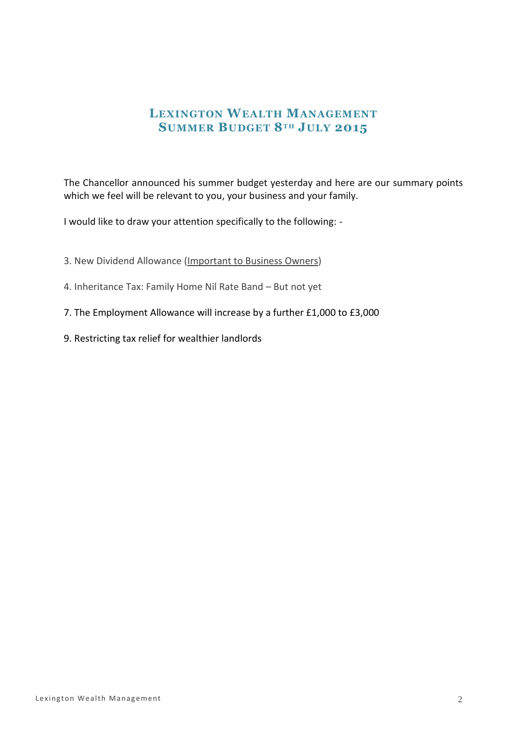# **LEXINGTON WEALTH MANAGEMENT SUMMER BUDGET 8T H JULY 2015**

The Chancellor announced his summer budget yesterday and here are our summary points which we feel will be relevant to you, your business and your family.

I would like to draw your attention specifically to the following: -

3. New Dividend Allowance (Important to Business Owners)

- 4. Inheritance Tax: Family Home Nil Rate Band But not yet
- 7. The Employment Allowance will increase by a further £1,000 to £3,000
- 9. Restricting tax relief for wealthier landlords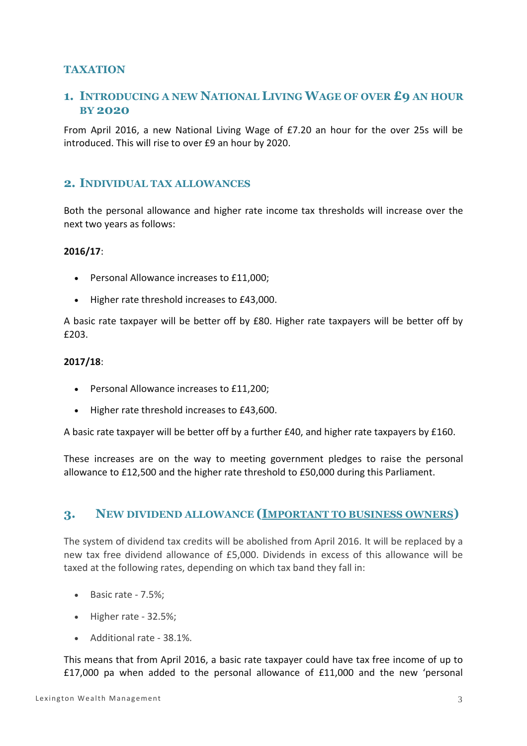## **TAXATION**

# **1. INTRODUCING A NEW NATIONAL LIVING WAGE OF OVER £9 AN HOUR BY 2020**

From April 2016, a new National Living Wage of £7.20 an hour for the over 25s will be introduced. This will rise to over £9 an hour by 2020.

### **2. INDIVIDUAL TAX ALLOWANCES**

Both the personal allowance and higher rate income tax thresholds will increase over the next two years as follows:

#### **2016/17**:

- Personal Allowance increases to £11,000;
- Higher rate threshold increases to £43,000.

A basic rate taxpayer will be better off by £80. Higher rate taxpayers will be better off by £203.

#### **2017/18**:

- Personal Allowance increases to £11,200;
- Higher rate threshold increases to £43,600.

A basic rate taxpayer will be better off by a further £40, and higher rate taxpayers by £160.

These increases are on the way to meeting government pledges to raise the personal allowance to £12,500 and the higher rate threshold to £50,000 during this Parliament.

## **3. NEW DIVIDEND ALLOWANCE (IMPORTANT TO BUSINESS OWNERS)**

The system of dividend tax credits will be abolished from April 2016. It will be replaced by a new tax free dividend allowance of £5,000. Dividends in excess of this allowance will be taxed at the following rates, depending on which tax band they fall in:

- Basic rate 7.5%;
- $\bullet$  Higher rate 32.5%;
- Additional rate 38.1%.

This means that from April 2016, a basic rate taxpayer could have tax free income of up to £17,000 pa when added to the personal allowance of £11,000 and the new 'personal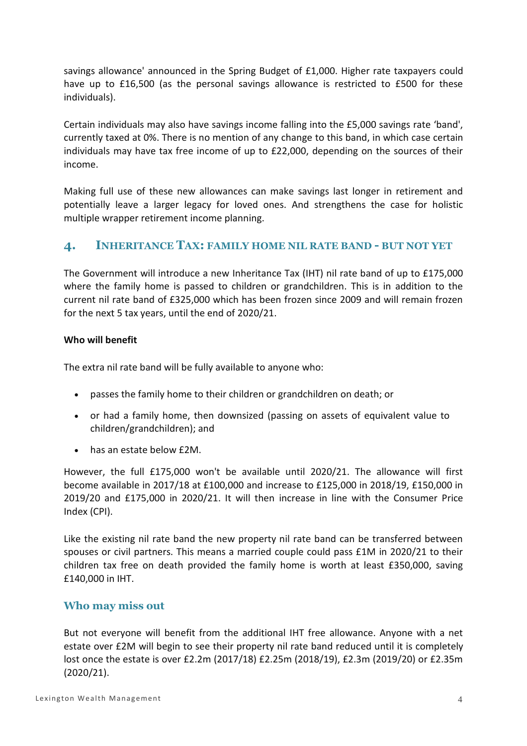savings allowance' announced in the Spring Budget of £1,000. Higher rate taxpayers could have up to £16,500 (as the personal savings allowance is restricted to £500 for these individuals).

Certain individuals may also have savings income falling into the £5,000 savings rate 'band', currently taxed at 0%. There is no mention of any change to this band, in which case certain individuals may have tax free income of up to £22,000, depending on the sources of their income.

Making full use of these new allowances can make savings last longer in retirement and potentially leave a larger legacy for loved ones. And strengthens the case for holistic multiple wrapper retirement income planning.

# **4. INHERITANCE TAX: FAMILY HOME NIL RATE BAND - BUT NOT YET**

The Government will introduce a new Inheritance Tax (IHT) nil rate band of up to £175,000 where the family home is passed to children or grandchildren. This is in addition to the current nil rate band of £325,000 which has been frozen since 2009 and will remain frozen for the next 5 tax years, until the end of 2020/21.

#### **Who will benefit**

The extra nil rate band will be fully available to anyone who:

- passes the family home to their children or grandchildren on death; or
- or had a family home, then downsized (passing on assets of equivalent value to children/grandchildren); and
- has an estate below £2M.

However, the full £175,000 won't be available until 2020/21. The allowance will first become available in 2017/18 at £100,000 and increase to £125,000 in 2018/19, £150,000 in 2019/20 and £175,000 in 2020/21. It will then increase in line with the Consumer Price Index (CPI).

Like the existing nil rate band the new property nil rate band can be transferred between spouses or civil partners. This means a married couple could pass £1M in 2020/21 to their children tax free on death provided the family home is worth at least £350,000, saving £140,000 in IHT.

### **Who may miss out**

But not everyone will benefit from the additional IHT free allowance. Anyone with a net estate over £2M will begin to see their property nil rate band reduced until it is completely lost once the estate is over £2.2m (2017/18) £2.25m (2018/19), £2.3m (2019/20) or £2.35m (2020/21).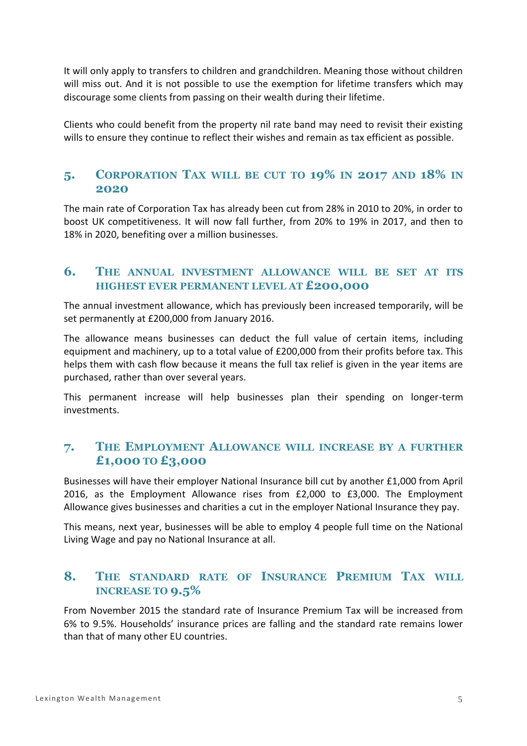It will only apply to transfers to children and grandchildren. Meaning those without children will miss out. And it is not possible to use the exemption for lifetime transfers which may discourage some clients from passing on their wealth during their lifetime.

Clients who could benefit from the property nil rate band may need to revisit their existing wills to ensure they continue to reflect their wishes and remain as tax efficient as possible.

# **5. CORPORATION TAX WILL BE CUT TO 19% IN 2017 AND 18% IN 2020**

The main rate of Corporation Tax has already been cut from 28% in 2010 to 20%, in order to boost UK competitiveness. It will now fall further, from 20% to 19% in 2017, and then to 18% in 2020, benefiting over a million businesses.

## **6. THE ANNUAL INVESTMENT ALLOWANCE WILL BE SET AT ITS HIGHEST EVER PERMANENT LEVEL AT £200,000**

The annual investment allowance, which has previously been increased temporarily, will be set permanently at £200,000 from January 2016.

The allowance means businesses can deduct the full value of certain items, including equipment and machinery, up to a total value of £200,000 from their profits before tax. This helps them with cash flow because it means the full tax relief is given in the year items are purchased, rather than over several years.

This permanent increase will help businesses plan their spending on longer-term investments.

# **7. THE EMPLOYMENT ALLOWANCE WILL INCREASE BY A FURTHER £1,000 TO £3,000**

Businesses will have their employer National Insurance bill cut by another £1,000 from April 2016, as the Employment Allowance rises from £2,000 to £3,000. The Employment Allowance gives businesses and charities a cut in the employer National Insurance they pay.

This means, next year, businesses will be able to employ 4 people full time on the National Living Wage and pay no National Insurance at all.

# **8. THE STANDARD RATE OF INSURANCE PREMIUM TAX WILL INCREASE TO 9.5%**

From November 2015 the standard rate of Insurance Premium Tax will be increased from 6% to 9.5%. Households' insurance prices are falling and the standard rate remains lower than that of many other EU countries.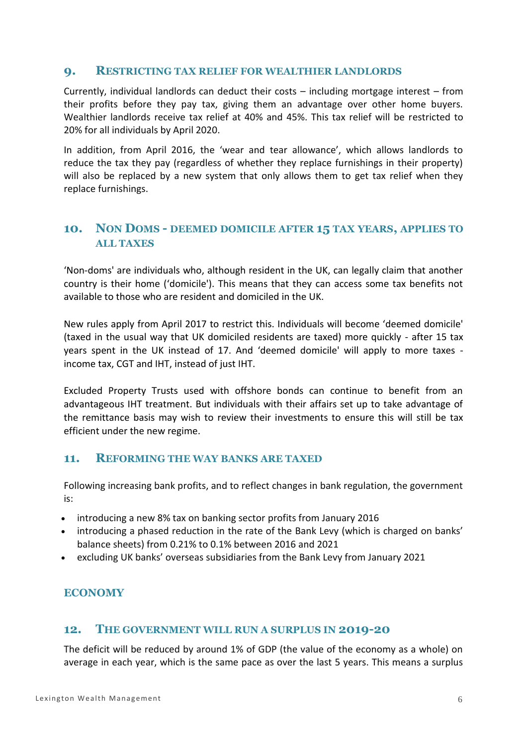### **9. RESTRICTING TAX RELIEF FOR WEALTHIER LANDLORDS**

Currently, individual landlords can deduct their costs – including mortgage interest – from their profits before they pay tax, giving them an advantage over other home buyers. Wealthier landlords receive tax relief at 40% and 45%. This tax relief will be restricted to 20% for all individuals by April 2020.

In addition, from April 2016, the 'wear and tear allowance', which allows landlords to reduce the tax they pay (regardless of whether they replace furnishings in their property) will also be replaced by a new system that only allows them to get tax relief when they replace furnishings.

# **10. NON DOMS - DEEMED DOMICILE AFTER 15 TAX YEARS, APPLIES TO ALL TAXES**

'Non-doms' are individuals who, although resident in the UK, can legally claim that another country is their home ('domicile'). This means that they can access some tax benefits not available to those who are resident and domiciled in the UK.

New rules apply from April 2017 to restrict this. Individuals will become 'deemed domicile' (taxed in the usual way that UK domiciled residents are taxed) more quickly - after 15 tax years spent in the UK instead of 17. And 'deemed domicile' will apply to more taxes income tax, CGT and IHT, instead of just IHT.

Excluded Property Trusts used with offshore bonds can continue to benefit from an advantageous IHT treatment. But individuals with their affairs set up to take advantage of the remittance basis may wish to review their investments to ensure this will still be tax efficient under the new regime.

### **11. REFORMING THE WAY BANKS ARE TAXED**

Following increasing bank profits, and to reflect changes in bank regulation, the government is:

- introducing a new 8% tax on banking sector profits from January 2016
- introducing a phased reduction in the rate of the Bank Levy (which is charged on banks' balance sheets) from 0.21% to 0.1% between 2016 and 2021
- excluding UK banks' overseas subsidiaries from the Bank Levy from January 2021

### **ECONOMY**

#### **12. THE GOVERNMENT WILL RUN A SURPLUS IN 2019-20**

The deficit will be reduced by around 1% of GDP (the value of the economy as a whole) on average in each year, which is the same pace as over the last 5 years. This means a surplus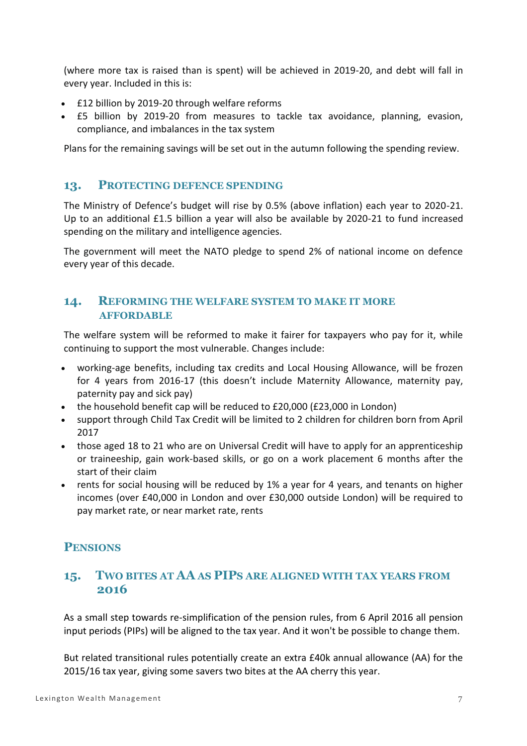(where more tax is raised than is spent) will be achieved in 2019-20, and debt will fall in every year. Included in this is:

- £12 billion by 2019-20 through welfare reforms
- £5 billion by 2019-20 from measures to tackle tax avoidance, planning, evasion, compliance, and imbalances in the tax system

Plans for the remaining savings will be set out in the autumn following the spending review.

### **13. PROTECTING DEFENCE SPENDING**

The Ministry of Defence's budget will rise by 0.5% (above inflation) each year to 2020-21. Up to an additional £1.5 billion a year will also be available by 2020-21 to fund increased spending on the military and intelligence agencies.

The government will meet the NATO pledge to spend 2% of national income on defence every year of this decade.

## **14. REFORMING THE WELFARE SYSTEM TO MAKE IT MORE AFFORDABLE**

The welfare system will be reformed to make it fairer for taxpayers who pay for it, while continuing to support the most vulnerable. Changes include:

- working-age benefits, including tax credits and Local Housing Allowance, will be frozen for 4 years from 2016-17 (this doesn't include Maternity Allowance, maternity pay, paternity pay and sick pay)
- the household benefit cap will be reduced to £20,000 (£23,000 in London)
- support through Child Tax Credit will be limited to 2 children for children born from April 2017
- those aged 18 to 21 who are on Universal Credit will have to apply for an apprenticeship or traineeship, gain work-based skills, or go on a work placement 6 months after the start of their claim
- rents for social housing will be reduced by 1% a year for 4 years, and tenants on higher incomes (over £40,000 in London and over £30,000 outside London) will be required to pay market rate, or near market rate, rents

# **PENSIONS**

# **15. TWO BITES AT AA AS PIPS ARE ALIGNED WITH TAX YEARS FROM 2016**

As a small step towards re-simplification of the pension rules, from 6 April 2016 all pension input periods (PIPs) will be aligned to the tax year. And it won't be possible to change them.

But related transitional rules potentially create an extra £40k annual allowance (AA) for the 2015/16 tax year, giving some savers two bites at the AA cherry this year.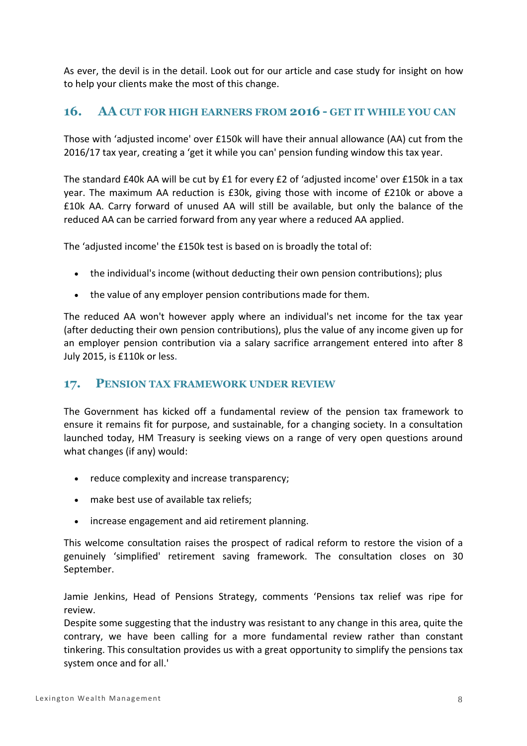As ever, the devil is in the detail. Look out for our article and case study for insight on how to help your clients make the most of this change.

# **16. AA CUT FOR HIGH EARNERS FROM 2016 - GET IT WHILE YOU CAN**

Those with 'adjusted income' over £150k will have their annual allowance (AA) cut from the 2016/17 tax year, creating a 'get it while you can' pension funding window this tax year.

The standard £40k AA will be cut by £1 for every £2 of 'adjusted income' over £150k in a tax year. The maximum AA reduction is £30k, giving those with income of £210k or above a £10k AA. Carry forward of unused AA will still be available, but only the balance of the reduced AA can be carried forward from any year where a reduced AA applied.

The 'adjusted income' the £150k test is based on is broadly the total of:

- the individual's income (without deducting their own pension contributions); plus
- the value of any employer pension contributions made for them.

The reduced AA won't however apply where an individual's net income for the tax year (after deducting their own pension contributions), plus the value of any income given up for an employer pension contribution via a salary sacrifice arrangement entered into after 8 July 2015, is £110k or less.

# **17. PENSION TAX FRAMEWORK UNDER REVIEW**

The Government has kicked off a fundamental review of the pension tax framework to ensure it remains fit for purpose, and sustainable, for a changing society. In a consultation launched today, HM Treasury is seeking views on a range of very open questions around what changes (if any) would:

- reduce complexity and increase transparency;
- make best use of available tax reliefs;
- increase engagement and aid retirement planning.

This welcome consultation raises the prospect of radical reform to restore the vision of a genuinely 'simplified' retirement saving framework. The consultation closes on 30 September.

Jamie Jenkins, Head of Pensions Strategy, comments 'Pensions tax relief was ripe for review.

Despite some suggesting that the industry was resistant to any change in this area, quite the contrary, we have been calling for a more fundamental review rather than constant tinkering. This consultation provides us with a great opportunity to simplify the pensions tax system once and for all.'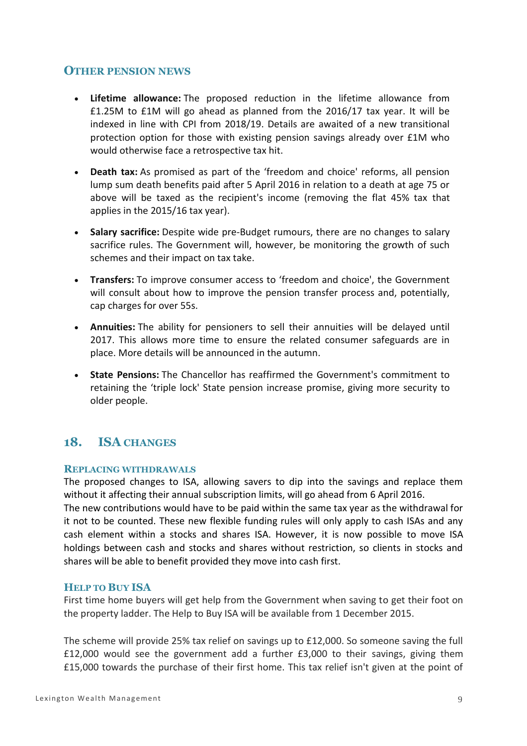## **OTHER PENSION NEWS**

- **Lifetime allowance:** The proposed reduction in the lifetime allowance from £1.25M to £1M will go ahead as planned from the 2016/17 tax year. It will be indexed in line with CPI from 2018/19. Details are awaited of a new transitional protection option for those with existing pension savings already over £1M who would otherwise face a retrospective tax hit.
- **Death tax:** As promised as part of the 'freedom and choice' reforms, all pension lump sum death benefits paid after 5 April 2016 in relation to a death at age 75 or above will be taxed as the recipient's income (removing the flat 45% tax that applies in the 2015/16 tax year).
- **Salary sacrifice:** Despite wide pre-Budget rumours, there are no changes to salary sacrifice rules. The Government will, however, be monitoring the growth of such schemes and their impact on tax take.
- **Transfers:** To improve consumer access to 'freedom and choice', the Government will consult about how to improve the pension transfer process and, potentially, cap charges for over 55s.
- **Annuities:** The ability for pensioners to sell their annuities will be delayed until 2017. This allows more time to ensure the related consumer safeguards are in place. More details will be announced in the autumn.
- **State Pensions:** The Chancellor has reaffirmed the Government's commitment to retaining the 'triple lock' State pension increase promise, giving more security to older people.

# **18. ISA CHANGES**

#### **REPLACING WITHDRAWALS**

The proposed changes to ISA, allowing savers to dip into the savings and replace them without it affecting their annual subscription limits, will go ahead from 6 April 2016.

The new contributions would have to be paid within the same tax year as the withdrawal for it not to be counted. These new flexible funding rules will only apply to cash ISAs and any cash element within a stocks and shares ISA. However, it is now possible to move ISA holdings between cash and stocks and shares without restriction, so clients in stocks and shares will be able to benefit provided they move into cash first.

#### **HELP TO BUY ISA**

First time home buyers will get help from the Government when saving to get their foot on the property ladder. The Help to Buy ISA will be available from 1 December 2015.

The scheme will provide 25% tax relief on savings up to £12,000. So someone saving the full £12,000 would see the government add a further £3,000 to their savings, giving them £15,000 towards the purchase of their first home. This tax relief isn't given at the point of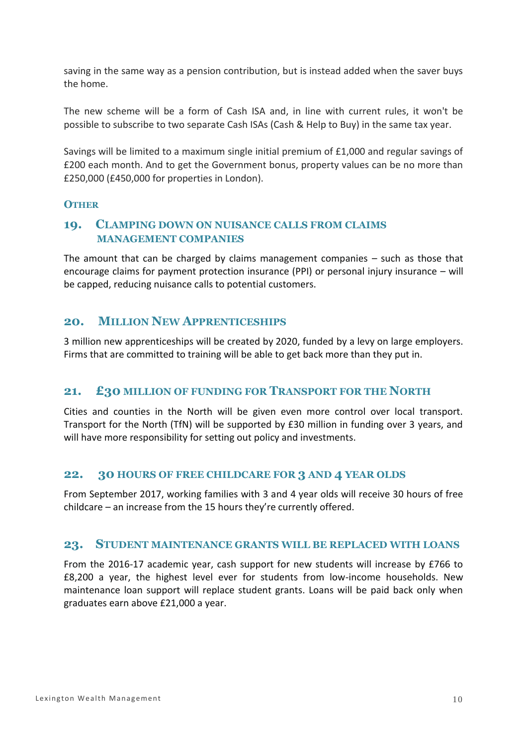saving in the same way as a pension contribution, but is instead added when the saver buys the home.

The new scheme will be a form of Cash ISA and, in line with current rules, it won't be possible to subscribe to two separate Cash ISAs (Cash & Help to Buy) in the same tax year.

Savings will be limited to a maximum single initial premium of £1,000 and regular savings of £200 each month. And to get the Government bonus, property values can be no more than £250,000 (£450,000 for properties in London).

### **OTHER**

## **19. CLAMPING DOWN ON NUISANCE CALLS FROM CLAIMS MANAGEMENT COMPANIES**

The amount that can be charged by claims management companies – such as those that encourage claims for payment protection insurance (PPI) or personal injury insurance – will be capped, reducing nuisance calls to potential customers.

## **20. MILLION NEW APPRENTICESHIPS**

3 million new apprenticeships will be created by 2020, funded by a levy on large employers. Firms that are committed to training will be able to get back more than they put in.

### **21. £30 MILLION OF FUNDING FOR TRANSPORT FOR THE NORTH**

Cities and counties in the North will be given even more control over local transport. Transport for the North (TfN) will be supported by £30 million in funding over 3 years, and will have more responsibility for setting out policy and investments.

#### **22. 30 HOURS OF FREE CHILDCARE FOR 3 AND 4 YEAR OLDS**

From September 2017, working families with 3 and 4 year olds will receive 30 hours of free childcare – an increase from the 15 hours they're currently offered.

#### **23. STUDENT MAINTENANCE GRANTS WILL BE REPLACED WITH LOANS**

From the 2016-17 academic year, cash support for new students will increase by £766 to £8,200 a year, the highest level ever for students from low-income households. New maintenance loan support will replace student grants. Loans will be paid back only when graduates earn above £21,000 a year.